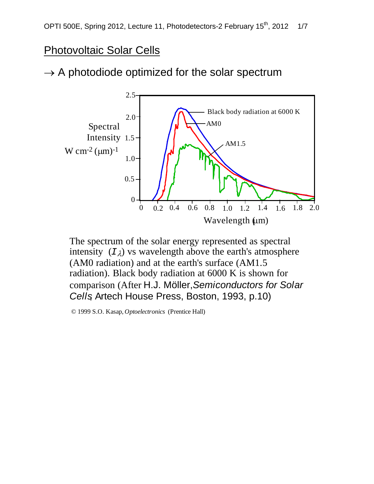# Photovoltaic Solar Cells

# $\rightarrow$  A photodiode optimized for the solar spectrum



The spectrum of the solar energy represented as spectral intensity  $(I_{\lambda})$  vs wavelength above the earth's atmosphere (AM0 radiation) and at the earth's surface (AM1.5 radiation). Black body radiation at 6000 K is shown for comparison (After H.J. Möller, *Semiconductors for Solar Cells*, Artech House Press, Boston, 1993, p.10)

© 1999 S.O. Kasap, *Optoelectronics* (Prentice Hall)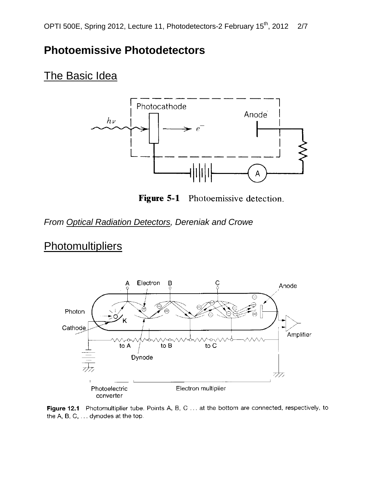## **Photoemissive Photodetectors**

## **The Basic Idea**



Figure 5-1 Photoemissive detection.

#### *From Optical Radiation Detectors, Dereniak and Crowe*

# **Photomultipliers**



Figure 12.1 Photomultiplier tube. Points A, B, C ... at the bottom are connected, respectively, to the A, B, C, ... dynodes at the top.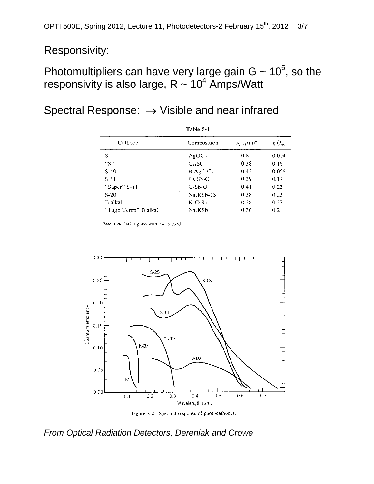### Responsivity:

# Photomultipliers can have very large gain  $G \sim 10^5$ , so the responsivity is also large,  $R \sim 10^4$  Amps/Watt

# Spectral Response: → Visible and near infrared

| Table 5-1            |                     |                                             |                   |
|----------------------|---------------------|---------------------------------------------|-------------------|
| Cathode              | Composition         | $\lambda_{\rm e}$ $(\mu \text{m})^{\alpha}$ | $\eta(\lambda_n)$ |
| $S-1$                | AgOCs               | 0.8                                         | 0.004             |
| "S"                  | Cs <sub>3</sub> Sb  | 0.38                                        | 0.16              |
| $S-10$               | BiAgO Cs            | 0.42                                        | 0.068             |
| $S-11$               | $Cs3Sb-O$           | 0.39                                        | 0.19              |
| "Super" S-11         | $CsSb-O$            | 0.41                                        | 0.23              |
| $S-20$               | $Na2KSb-Cs$         | 0.38                                        | 0.22              |
| Bialkali             | $K_2CsSb$           | 0.38                                        | 0.27              |
| "High Temp" Bialkali | Na <sub>2</sub> KSb | 0.36                                        | 0.21              |

<sup>a</sup> Assumes that a glass window is used.



Figure 5-2 Spectral response of photocathodes.

#### *From Optical Radiation Detectors, Dereniak and Crowe*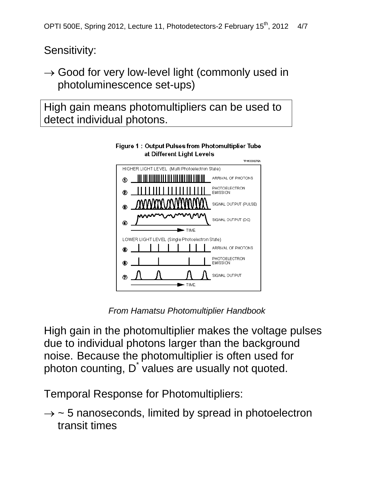Sensitivity:

 $\rightarrow$  Good for very low-level light (commonly used in photoluminescence set-ups)

High gain means photomultipliers can be used to detect individual photons.



Figure 1: Output Pulses from Photomultiplier Tube at Different Light Levels

*From Hamatsu Photomultiplier Handbook*

High gain in the photomultiplier makes the voltage pulses due to individual photons larger than the background noise. Because the photomultiplier is often used for photon counting,  $D^{\dagger}$  values are usually not quoted.

Temporal Response for Photomultipliers:

 $\rightarrow$  ~ 5 nanoseconds, limited by spread in photoelectron transit times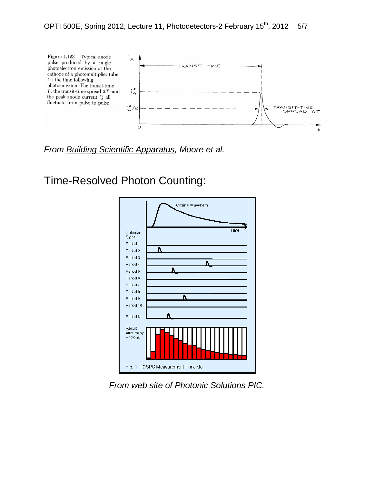

*From Building Scientific Apparatus, Moore et al.*

Time-Resolved Photon Counting:



*From web site of Photonic Solutions PIC.*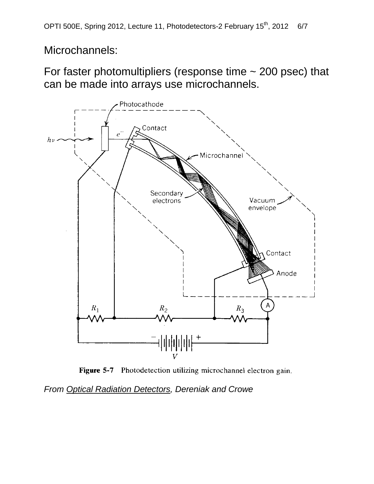Microchannels:

For faster photomultipliers (response time ~ 200 psec) that can be made into arrays use microchannels.



Figure 5-7 Photodetection utilizing microchannel electron gain.

*From Optical Radiation Detectors, Dereniak and Crowe*